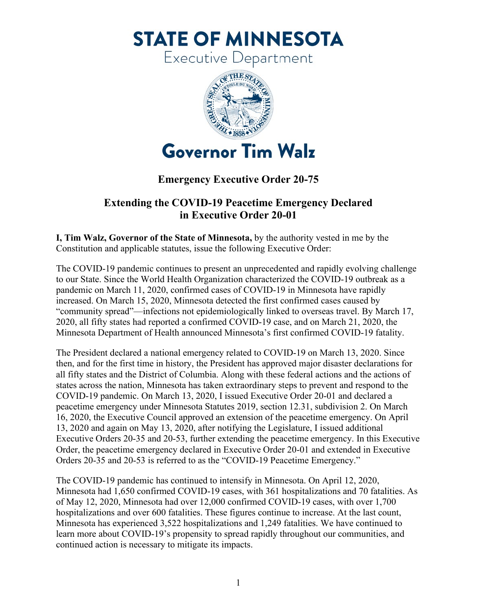**STATE OF MINNESOTA** 

Executive Department



## **Emergency Executive Order 20-75**

## **Extending the COVID-19 Peacetime Emergency Declared in Executive Order 20-01**

**I, Tim Walz, Governor of the State of Minnesota,** by the authority vested in me by the Constitution and applicable statutes, issue the following Executive Order:

The COVID-19 pandemic continues to present an unprecedented and rapidly evolving challenge to our State. Since the World Health Organization characterized the COVID-19 outbreak as a pandemic on March 11, 2020, confirmed cases of COVID-19 in Minnesota have rapidly increased. On March 15, 2020, Minnesota detected the first confirmed cases caused by "community spread"—infections not epidemiologically linked to overseas travel. By March 17, 2020, all fifty states had reported a confirmed COVID-19 case, and on March 21, 2020, the Minnesota Department of Health announced Minnesota's first confirmed COVID-19 fatality.

The President declared a national emergency related to COVID-19 on March 13, 2020. Since then, and for the first time in history, the President has approved major disaster declarations for all fifty states and the District of Columbia. Along with these federal actions and the actions of states across the nation, Minnesota has taken extraordinary steps to prevent and respond to the COVID-19 pandemic. On March 13, 2020, I issued Executive Order 20-01 and declared a peacetime emergency under Minnesota Statutes 2019, section 12.31, subdivision 2. On March 16, 2020, the Executive Council approved an extension of the peacetime emergency. On April 13, 2020 and again on May 13, 2020, after notifying the Legislature, I issued additional Executive Orders 20-35 and 20-53, further extending the peacetime emergency. In this Executive Order, the peacetime emergency declared in Executive Order 20-01 and extended in Executive Orders 20-35 and 20-53 is referred to as the "COVID-19 Peacetime Emergency."

The COVID-19 pandemic has continued to intensify in Minnesota. On April 12, 2020, Minnesota had 1,650 confirmed COVID-19 cases, with 361 hospitalizations and 70 fatalities. As of May 12, 2020, Minnesota had over 12,000 confirmed COVID-19 cases, with over 1,700 hospitalizations and over 600 fatalities. These figures continue to increase. At the last count, Minnesota has experienced 3,522 hospitalizations and 1,249 fatalities. We have continued to learn more about COVID-19's propensity to spread rapidly throughout our communities, and continued action is necessary to mitigate its impacts.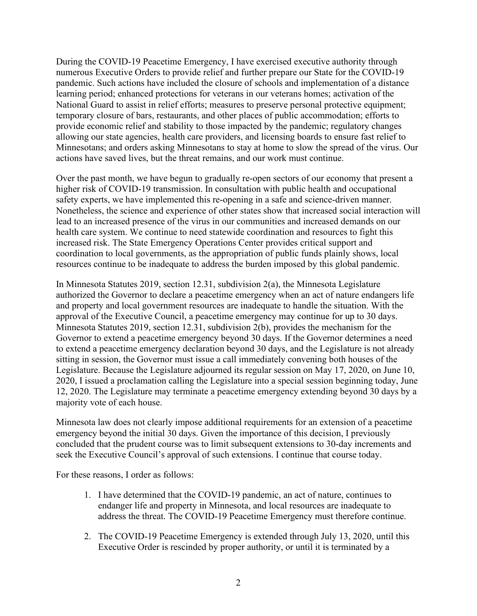During the COVID-19 Peacetime Emergency, I have exercised executive authority through numerous Executive Orders to provide relief and further prepare our State for the COVID-19 pandemic. Such actions have included the closure of schools and implementation of a distance learning period; enhanced protections for veterans in our veterans homes; activation of the National Guard to assist in relief efforts; measures to preserve personal protective equipment; temporary closure of bars, restaurants, and other places of public accommodation; efforts to provide economic relief and stability to those impacted by the pandemic; regulatory changes allowing our state agencies, health care providers, and licensing boards to ensure fast relief to Minnesotans; and orders asking Minnesotans to stay at home to slow the spread of the virus. Our actions have saved lives, but the threat remains, and our work must continue.

Over the past month, we have begun to gradually re-open sectors of our economy that present a higher risk of COVID-19 transmission. In consultation with public health and occupational safety experts, we have implemented this re-opening in a safe and science-driven manner. Nonetheless, the science and experience of other states show that increased social interaction will lead to an increased presence of the virus in our communities and increased demands on our health care system. We continue to need statewide coordination and resources to fight this increased risk. The State Emergency Operations Center provides critical support and coordination to local governments, as the appropriation of public funds plainly shows, local resources continue to be inadequate to address the burden imposed by this global pandemic.

In Minnesota Statutes 2019, section 12.31, subdivision 2(a), the Minnesota Legislature authorized the Governor to declare a peacetime emergency when an act of nature endangers life and property and local government resources are inadequate to handle the situation. With the approval of the Executive Council, a peacetime emergency may continue for up to 30 days. Minnesota Statutes 2019, section 12.31, subdivision 2(b), provides the mechanism for the Governor to extend a peacetime emergency beyond 30 days. If the Governor determines a need to extend a peacetime emergency declaration beyond 30 days, and the Legislature is not already sitting in session, the Governor must issue a call immediately convening both houses of the Legislature. Because the Legislature adjourned its regular session on May 17, 2020, on June 10, 2020, I issued a proclamation calling the Legislature into a special session beginning today, June 12, 2020. The Legislature may terminate a peacetime emergency extending beyond 30 days by a majority vote of each house.

Minnesota law does not clearly impose additional requirements for an extension of a peacetime emergency beyond the initial 30 days. Given the importance of this decision, I previously concluded that the prudent course was to limit subsequent extensions to 30-day increments and seek the Executive Council's approval of such extensions. I continue that course today.

For these reasons, I order as follows:

- 1. I have determined that the COVID-19 pandemic, an act of nature, continues to endanger life and property in Minnesota, and local resources are inadequate to address the threat. The COVID-19 Peacetime Emergency must therefore continue.
- 2. The COVID-19 Peacetime Emergency is extended through July 13, 2020, until this Executive Order is rescinded by proper authority, or until it is terminated by a